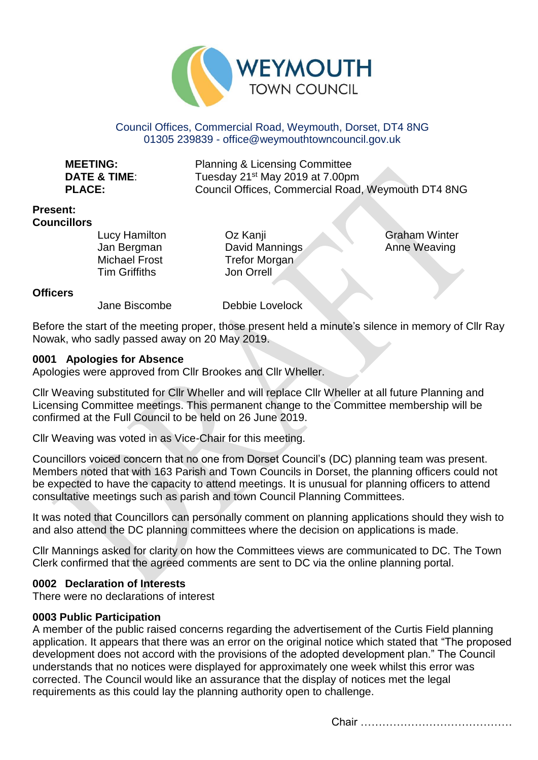

## Council Offices, Commercial Road, Weymouth, Dorset, DT4 8NG 01305 239839 - office@weymouthtowncouncil.gov.uk

**MEETING:** Planning & Licensing Committee **DATE & TIME:** Tuesday 21<sup>st</sup> May 2019 at 7.00pm **PLACE:** Council Offices, Commercial Road, Weymouth DT4 8NG

#### **Present: Councillors**

Lucy Hamilton Jan Bergman Michael Frost Tim Griffiths

Oz Kanji David Mannings Trefor Morgan Jon Orrell

Graham Winter Anne Weaving

## **Officers**

Jane Biscombe Debbie Lovelock

Before the start of the meeting proper, those present held a minute's silence in memory of Cllr Ray Nowak, who sadly passed away on 20 May 2019.

## **0001 Apologies for Absence**

Apologies were approved from Cllr Brookes and Cllr Wheller.

Cllr Weaving substituted for Cllr Wheller and will replace Cllr Wheller at all future Planning and Licensing Committee meetings. This permanent change to the Committee membership will be confirmed at the Full Council to be held on 26 June 2019.

Cllr Weaving was voted in as Vice-Chair for this meeting.

Councillors voiced concern that no one from Dorset Council's (DC) planning team was present. Members noted that with 163 Parish and Town Councils in Dorset, the planning officers could not be expected to have the capacity to attend meetings. It is unusual for planning officers to attend consultative meetings such as parish and town Council Planning Committees.

It was noted that Councillors can personally comment on planning applications should they wish to and also attend the DC planning committees where the decision on applications is made.

Cllr Mannings asked for clarity on how the Committees views are communicated to DC. The Town Clerk confirmed that the agreed comments are sent to DC via the online planning portal.

## **0002 Declaration of Interests**

There were no declarations of interest

## **0003 Public Participation**

A member of the public raised concerns regarding the advertisement of the Curtis Field planning application. It appears that there was an error on the original notice which stated that "The proposed development does not accord with the provisions of the adopted development plan." The Council understands that no notices were displayed for approximately one week whilst this error was corrected. The Council would like an assurance that the display of notices met the legal requirements as this could lay the planning authority open to challenge.

Chair ……………………………………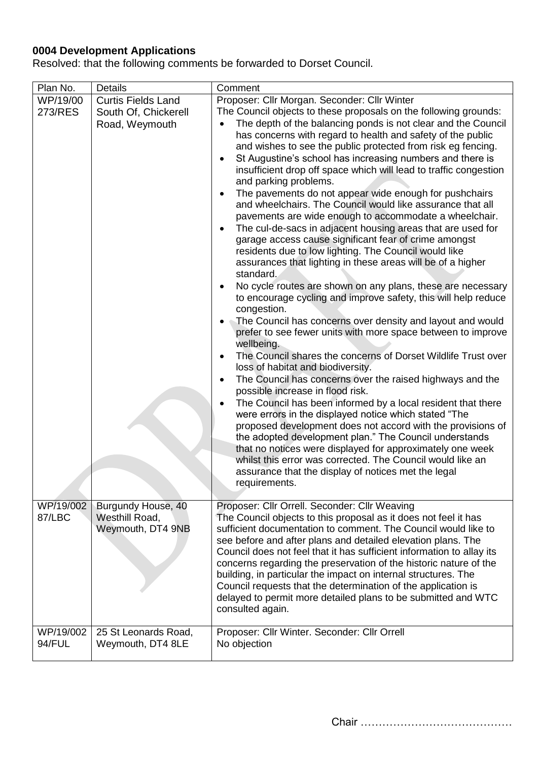## **0004 Development Applications**

Resolved: that the following comments be forwarded to Dorset Council.

| Plan No.            | <b>Details</b>                                                      | Comment                                                                                                                                                                                                                                                                                                                                                                                                                                                                                                                                                                                                                                                                                                                                                                                                                                                                                                                                                                                                                                                                                                                                                                                                                                                                                                                                                                                                                                                                                                                                                                                                                                                                                                                                                                                                                                                                                                                                                                       |
|---------------------|---------------------------------------------------------------------|-------------------------------------------------------------------------------------------------------------------------------------------------------------------------------------------------------------------------------------------------------------------------------------------------------------------------------------------------------------------------------------------------------------------------------------------------------------------------------------------------------------------------------------------------------------------------------------------------------------------------------------------------------------------------------------------------------------------------------------------------------------------------------------------------------------------------------------------------------------------------------------------------------------------------------------------------------------------------------------------------------------------------------------------------------------------------------------------------------------------------------------------------------------------------------------------------------------------------------------------------------------------------------------------------------------------------------------------------------------------------------------------------------------------------------------------------------------------------------------------------------------------------------------------------------------------------------------------------------------------------------------------------------------------------------------------------------------------------------------------------------------------------------------------------------------------------------------------------------------------------------------------------------------------------------------------------------------------------------|
| WP/19/00<br>273/RES | <b>Curtis Fields Land</b><br>South Of, Chickerell<br>Road, Weymouth | Proposer: Cllr Morgan. Seconder: Cllr Winter<br>The Council objects to these proposals on the following grounds:<br>The depth of the balancing ponds is not clear and the Council<br>has concerns with regard to health and safety of the public<br>and wishes to see the public protected from risk eg fencing.<br>St Augustine's school has increasing numbers and there is<br>$\bullet$<br>insufficient drop off space which will lead to traffic congestion<br>and parking problems.<br>The pavements do not appear wide enough for pushchairs<br>$\bullet$<br>and wheelchairs. The Council would like assurance that all<br>pavements are wide enough to accommodate a wheelchair.<br>The cul-de-sacs in adjacent housing areas that are used for<br>$\bullet$<br>garage access cause significant fear of crime amongst<br>residents due to low lighting. The Council would like<br>assurances that lighting in these areas will be of a higher<br>standard.<br>No cycle routes are shown on any plans, these are necessary<br>$\bullet$<br>to encourage cycling and improve safety, this will help reduce<br>congestion.<br>The Council has concerns over density and layout and would<br>prefer to see fewer units with more space between to improve<br>wellbeing.<br>The Council shares the concerns of Dorset Wildlife Trust over<br>$\bullet$<br>loss of habitat and biodiversity.<br>The Council has concerns over the raised highways and the<br>$\bullet$<br>possible increase in flood risk.<br>The Council has been informed by a local resident that there<br>$\bullet$<br>were errors in the displayed notice which stated "The<br>proposed development does not accord with the provisions of<br>the adopted development plan." The Council understands<br>that no notices were displayed for approximately one week<br>whilst this error was corrected. The Council would like an<br>assurance that the display of notices met the legal<br>requirements. |
| WP/19/002<br>87/LBC | Burgundy House, 40<br>Westhill Road,<br>Weymouth, DT4 9NB           | Proposer: Cllr Orrell. Seconder: Cllr Weaving<br>The Council objects to this proposal as it does not feel it has<br>sufficient documentation to comment. The Council would like to<br>see before and after plans and detailed elevation plans. The<br>Council does not feel that it has sufficient information to allay its<br>concerns regarding the preservation of the historic nature of the<br>building, in particular the impact on internal structures. The<br>Council requests that the determination of the application is<br>delayed to permit more detailed plans to be submitted and WTC<br>consulted again.                                                                                                                                                                                                                                                                                                                                                                                                                                                                                                                                                                                                                                                                                                                                                                                                                                                                                                                                                                                                                                                                                                                                                                                                                                                                                                                                                      |
| WP/19/002<br>94/FUL | 25 St Leonards Road,<br>Weymouth, DT4 8LE                           | Proposer: Cllr Winter. Seconder: Cllr Orrell<br>No objection                                                                                                                                                                                                                                                                                                                                                                                                                                                                                                                                                                                                                                                                                                                                                                                                                                                                                                                                                                                                                                                                                                                                                                                                                                                                                                                                                                                                                                                                                                                                                                                                                                                                                                                                                                                                                                                                                                                  |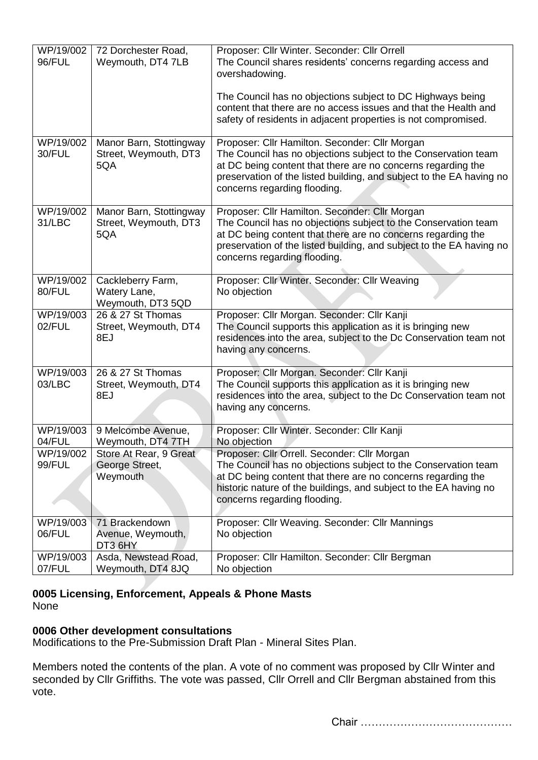| WP/19/002<br>96/FUL | 72 Dorchester Road,<br>Weymouth, DT4 7LB                | Proposer: Cllr Winter. Seconder: Cllr Orrell<br>The Council shares residents' concerns regarding access and<br>overshadowing.                                                                                                                                                            |
|---------------------|---------------------------------------------------------|------------------------------------------------------------------------------------------------------------------------------------------------------------------------------------------------------------------------------------------------------------------------------------------|
|                     |                                                         | The Council has no objections subject to DC Highways being<br>content that there are no access issues and that the Health and<br>safety of residents in adjacent properties is not compromised.                                                                                          |
| WP/19/002<br>30/FUL | Manor Barn, Stottingway<br>Street, Weymouth, DT3<br>5QA | Proposer: Cllr Hamilton. Seconder: Cllr Morgan<br>The Council has no objections subject to the Conservation team<br>at DC being content that there are no concerns regarding the<br>preservation of the listed building, and subject to the EA having no<br>concerns regarding flooding. |
| WP/19/002<br>31/LBC | Manor Barn, Stottingway<br>Street, Weymouth, DT3<br>5QA | Proposer: Cllr Hamilton. Seconder: Cllr Morgan<br>The Council has no objections subject to the Conservation team<br>at DC being content that there are no concerns regarding the<br>preservation of the listed building, and subject to the EA having no<br>concerns regarding flooding. |
| WP/19/002<br>80/FUL | Cackleberry Farm,<br>Watery Lane,<br>Weymouth, DT3 5QD  | Proposer: Cllr Winter. Seconder: Cllr Weaving<br>No objection                                                                                                                                                                                                                            |
| WP/19/003<br>02/FUL | 26 & 27 St Thomas<br>Street, Weymouth, DT4<br>8EJ       | Proposer: Cllr Morgan. Seconder: Cllr Kanji<br>The Council supports this application as it is bringing new<br>residences into the area, subject to the Dc Conservation team not<br>having any concerns.                                                                                  |
| WP/19/003<br>03/LBC | 26 & 27 St Thomas<br>Street, Weymouth, DT4<br>8EJ       | Proposer: Cllr Morgan. Seconder: Cllr Kanji<br>The Council supports this application as it is bringing new<br>residences into the area, subject to the Dc Conservation team not<br>having any concerns.                                                                                  |
| WP/19/003<br>04/FUL | 9 Melcombe Avenue,<br>Weymouth, DT4 7TH                 | Proposer: Cllr Winter. Seconder: Cllr Kanji<br>No objection                                                                                                                                                                                                                              |
| WP/19/002<br>99/FUL | Store At Rear, 9 Great<br>George Street,<br>Weymouth    | Proposer: Cllr Orrell. Seconder: Cllr Morgan<br>The Council has no objections subject to the Conservation team<br>at DC being content that there are no concerns regarding the<br>historic nature of the buildings, and subject to the EA having no<br>concerns regarding flooding.      |
| WP/19/003<br>06/FUL | 71 Brackendown<br>Avenue, Weymouth,<br>DT3 6HY          | Proposer: Cllr Weaving. Seconder: Cllr Mannings<br>No objection                                                                                                                                                                                                                          |
| WP/19/003<br>07/FUL | Asda, Newstead Road,<br>Weymouth, DT4 8JQ               | Proposer: Cllr Hamilton. Seconder: Cllr Bergman<br>No objection                                                                                                                                                                                                                          |

#### **0005 Licensing, Enforcement, Appeals & Phone Masts** None

# **0006 Other development consultations**

Modifications to the Pre-Submission Draft Plan - Mineral Sites Plan.

Members noted the contents of the plan. A vote of no comment was proposed by Cllr Winter and seconded by Cllr Griffiths. The vote was passed, Cllr Orrell and Cllr Bergman abstained from this vote.

Chair ……………………………………